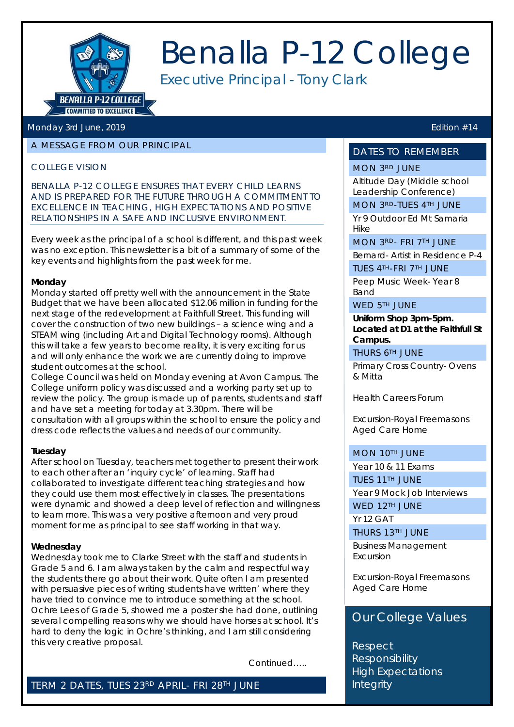

## Benalla P-12 College

Executive Principal - Tony Clark

#### Monday 3rd June, 2019 **Edition #14**

#### A MESSAGE FROM OUR PRINCIPAL

#### COLLEGE VISION

*BENALLA P-12 COLLEGE ENSURES THAT EVERY CHILD LEARNS AND IS PREPARED FOR THE FUTURE THROUGH A COMMITMENT TO EXCELLENCE IN TEACHING, HIGH EXPECTATIONS AND POSITIVE RELATIONSHIPS IN A SAFE AND INCLUSIVE ENVIRONMENT.*

Every week as the principal of a school is different, and this past week was no exception. This newsletter is a bit of a summary of some of the key events and highlights from the past week for me.

#### **Monday**

Monday started off pretty well with the announcement in the State Budget that we have been allocated \$12.06 million in funding for the next stage of the redevelopment at Faithfull Street. This funding will cover the construction of two new buildings – a science wing and a STEAM wing (including Art and Digital Technology rooms). Although this will take a few years to become reality, it is very exciting for us and will only enhance the work we are currently doing to improve student outcomes at the school.

College Council was held on Monday evening at Avon Campus. The College uniform policy was discussed and a working party set up to review the policy. The group is made up of parents, students and staff and have set a meeting for today at 3.30pm. There will be consultation with all groups within the school to ensure the policy and dress code reflects the values and needs of our community.

#### **Tuesday**

After school on Tuesday, teachers met together to present their work to each other after an 'inquiry cycle' of learning. Staff had collaborated to investigate different teaching strategies and how they could use them most effectively in classes. The presentations were dynamic and showed a deep level of reflection and willingness to learn more. This was a very positive afternoon and very proud moment for me as principal to see staff working in that way.

#### **Wednesday**

Wednesday took me to Clarke Street with the staff and students in Grade 5 and 6. I am always taken by the calm and respectful way the students there go about their work. Quite often I am presented with persuasive pieces of writing students have written' where they have tried to convince me to introduce something at the school. Ochre Lees of Grade 5, showed me a poster she had done, outlining several compelling reasons why we should have horses at school. It's hard to deny the logic in Ochre's thinking, and I am still considering this very creative proposal.

Continued…..

TERM 2 DATES, TUES 23RD APRIL- FRI 28TH JUNE

#### DATES TO REMEMBER

#### MON 3RD JUNE

Altitude Day (Middle school Leadership Conference) MON 3RD-TUES 4TH JUNE

Yr 9 Outdoor Ed Mt Samaria Hike

MON 3RD- FRI 7TH JUNE

Bernard- Artist in Residence P-4

TUES 4TH-FRI 7TH JUNE

Peep Music Week- Year 8 Band

#### WED 5TH JUNE

**Uniform Shop 3pm-5pm. Located at D1 at the Faithfull St Campus.**

THURS 6TH JUNE

Primary Cross Country- Ovens & Mitta

Health Careers Forum

Excursion-Royal Freemasons Aged Care Home

#### MON 10TH JUNE

Year 10 & 11 Exams

TUES 11TH JUNE

Year 9 Mock Job Interviews

WED 12TH JUNE

Yr 12 GAT

THURS 13TH JUNE

Business Management Excursion

Excursion-Royal Freemasons Aged Care Home

#### . Our College Values

Respect **Responsibility** High Expectations **Integrity**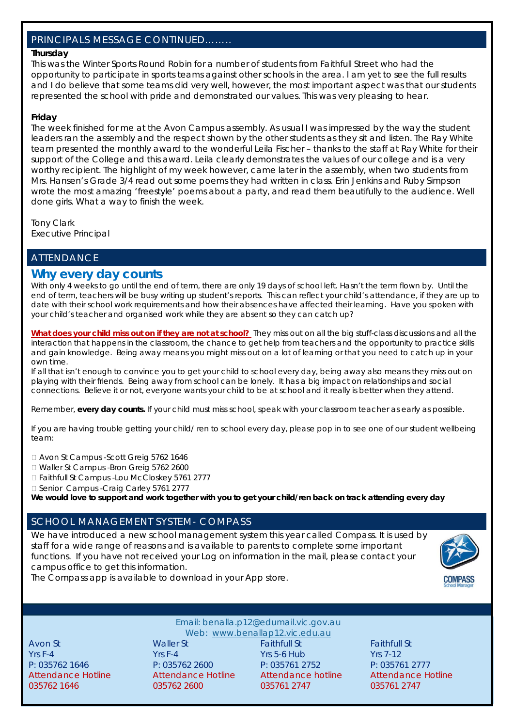#### PRINCIPALS MESSAGE CONTINUED……..

#### **Thursday**

This was the Winter Sports Round Robin for a number of students from Faithfull Street who had the opportunity to participate in sports teams against other schools in the area. I am yet to see the full results and I do believe that some teams did very well, however, the most important aspect was that our students represented the school with pride and demonstrated our values. This was very pleasing to hear.

#### **Friday**

The week finished for me at the Avon Campus assembly. As usual I was impressed by the way the student leaders ran the assembly and the respect shown by the other students as they sit and listen. The Ray White team presented the monthly award to the wonderful Leila Fischer – thanks to the staff at Ray White for their support of the College and this award. Leila clearly demonstrates the values of our college and is a very worthy recipient. The highlight of my week however, came later in the assembly, when two students from Mrs. Hansen's Grade 3/4 read out some poems they had written in class. Erin Jenkins and Ruby Simpson wrote the most amazing 'freestyle' poems about a party, and read them beautifully to the audience. Well done girls. What a way to finish the week.

Tony Clark Executive Principal

#### ATTENDANCE

#### **Why every day counts**

With only 4 weeks to go until the end of term, there are only 19 days of school left. Hasn't the term flown by. Until the end of term, teachers will be busy writing up student's reports. This can reflect your child's attendance, if they are up to date with their school work requirements and how their absences have affected their learning. *Have you spoken with your child's teacher and organised work while they are absent so they can catch up?*

**What does your child miss out on if they are not at school?** They miss out on all the big stuff-class discussions and all the interaction that happens in the classroom, the chance to get help from teachers and the opportunity to practice skills and gain knowledge. Being away means you might miss out on a lot of learning or that you need to catch up in your own time.

If all that isn't enough to convince you to get your child to school every day, being away also means they miss out on playing with their friends. Being away from school can be lonely. It has a big impact on relationships and social connections. Believe it or not, everyone wants your child to be at school and it really is better when they attend.

Remember, **every day counts.** If your child must miss school, speak with your classroom teacher as early as possible.

If you are having trouble getting your child/ ren to school every day, please pop in to see one of our student wellbeing team:

Avon St Campus -Scott Greig 5762 1646

Waller St Campus -Bron Greig 5762 2600

□ Faithfull St Campus -Lou McCloskey 5761 2777

□ Senior Campus -Craig Carley 5761 2777

**We would love to support and work together with you to get your child/ren back on track attending every day**

#### SCHOOL MANAGEMENT SYSTEM- COMPASS

We have introduced a new school management system this year called Compass. It is used by staff for a wide range of reasons and is available to parents to complete some important functions. If you have not received your Log on information in the mail, please contact your campus office to get this information.





Email: benalla.p12@edumail.vic.gov.au Email: benalla.p12@edumail.vic.gov.au

Web: [www.benallap12.vic.edu.au](http://www.benallap12.vic.edu.au/) Web: [www.benallap12.vic.edu.au](http://www.benallap12.vic.edu.au/)  $\frac{1}{2}$  Yrs F-4  $\frac{1}{2}$  St St  $\frac{1}{2}$  St St  $\frac{1}{2}$  St St  $\frac{1}{2}$  St  $\frac{1}{2}$  St  $\frac{1}{2}$  St  $\frac{1}{2}$  St  $\frac{1}{2}$  St  $\frac{1}{2}$  St  $\frac{1}{2}$  St  $\frac{1}{2}$  St  $\frac{1}{2}$  St  $\frac{1}{2}$  St  $\frac{1}{2}$  St  $\frac{1}{2}$  St P: 035762 1646 P: 035762 2600 P: 035761 2752 P: 035761 2777 Attendance Hotline **Attendance Hotline** Attendance hotline Attendance Hotline Attendance Hotline Attendance Hotline Attendance hotline Attendance Hotline 035762 1646 035762 2600 035761 2747 035761 2747Avon St The Teath of Maller St Teath Faithfull St Teath Faithfull St Teath Faithfull St Yrs F-4 Yrs F-4 Yrs 5-6 Hub Yrs 7-12 Attendance hotline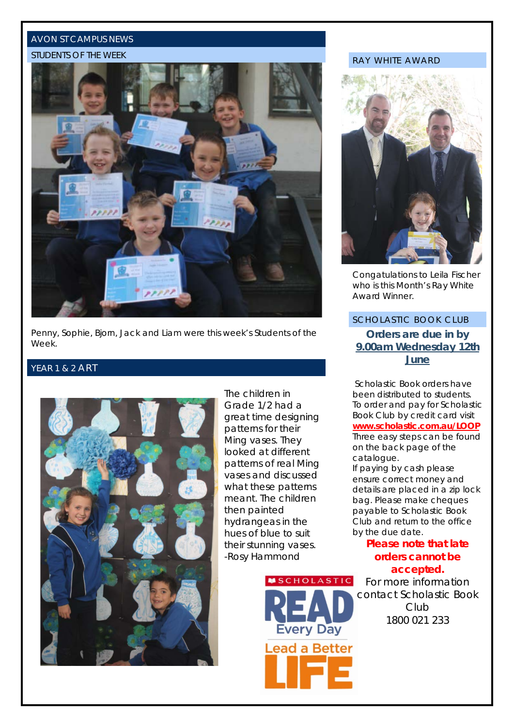#### AVON ST CAMPUS NEWS

#### STUDENTS OF THE WEEK



Penny, Sophie, Bjorn, Jack and Liam were this week's Students of the Week.

#### YEAR 1 & 2 ART



The children in Grade 1/2 had a great time designing patterns for their Ming vases. They looked at different patterns of real Ming vases and discussed what these patterns meant. The children then painted hydrangeas in the hues of blue to suit their stunning vases. -Rosy Hammond



#### RAY WHITE AWARD



Congatulations to Leila Fischer who is this Month's Ray White Award Winner.

#### SCHOLASTIC BOOK CLUB **Orders are due in by 9.00am Wednesday 12th June**

Scholastic Book orders have been distributed to students. To order and pay for Scholastic Book Club by credit card visit **www.scholastic.com.au/LOOP**  Three easy steps can be found on the back page of the catalogue.

If paying by cash please ensure correct money and details are placed in a zip lock bag. Please make cheques payable to Scholastic Book Club and return to the office by the due date.

#### **Please note that late orders cannot be accepted.**

For more information contact Scholastic Book Club 1800 021 233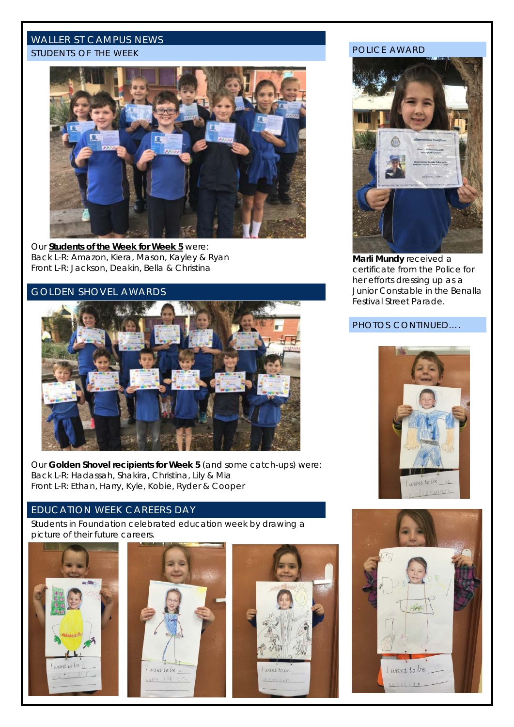#### WALLER ST CAMPUS NEWS

#### STUDENTS OF THE WEEK



Our **Students of the Week for Week 5** were: Back L-R: Amazon, Kiera, Mason, Kayley & Ryan Front L-R: Jackson, Deakin, Bella & Christina

#### GOLDEN SHOVEL AWARDS



Our **Golden Shovel recipients for Week 5** (and some catch-ups) were: Back L-R: Hadassah, Shakira, Christina, Lily & Mia Front L-R: Ethan, Harry, Kyle, Kobie, Ryder & Cooper

#### EDUCATION WEEK CAREERS DAY

Students in Foundation celebrated education week by drawing a picture of their future careers.







#### POLICE AWARD



**Marli Mundy** received a certificate from the Police for her efforts dressing up as a Junior Constable in the Benalla Festival Street Parade.

#### PHOTOS CONTINUED….



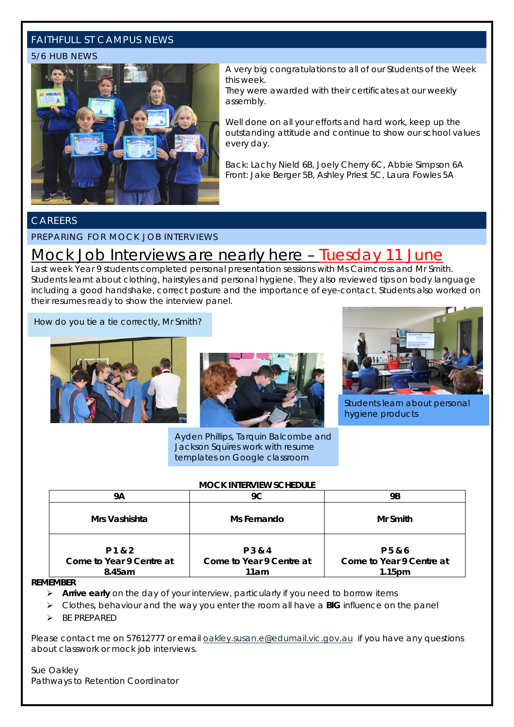#### FAITHFULL ST CAMPUS NEWS

#### 5/6 HUB NEWS



A very big congratulations to all of our Students of the Week this week.

They were awarded with their certificates at our weekly assembly.

Well done on all your efforts and hard work, keep up the outstanding attitude and continue to show our school values every day.

Back: Lachy Nield 6B, Joely Cherry 6C, Abbie Simpson 6A Front: Jake Berger 5B, Ashley Priest 5C, Laura Fowles 5A

#### CAREERS

#### PREPARING FOR MOCK JOB INTERVIEWS

### Mock Job Interviews are nearly here – Tuesday 11 June

Last week Year 9 students completed personal presentation sessions with Ms Cairncross and Mr Smith. Students learnt about clothing, hairstyles and personal hygiene. They also reviewed tips on body language including a good handshake, correct posture and the importance of eye-contact. Students also worked on their resumes ready to show the interview panel.

How do you tie a tie correctly, Mr Smith?





Ayden Phillips, Tarquin Balcombe and Jackson Squires work with resume templates on Google classroom



Students learn about personal hygiene products

#### **MOCK INTERVIEW SCHEDULE**

| 9Α                                            | 9C                                          | <b>9B</b>                                                 |
|-----------------------------------------------|---------------------------------------------|-----------------------------------------------------------|
| Mrs Vashishta                                 | Ms Fernando                                 | Mr Smith                                                  |
| P 1 & 2<br>Come to Year 9 Centre at<br>8.45am | P 3 & 4<br>Come to Year 9 Centre at<br>11am | P 5 & 6<br>Come to Year 9 Centre at<br>1.15 <sub>pm</sub> |

#### **REMEMBER**

- **Arrive early** on the day of your interview, particularly if you need to borrow items
- Clothes, behaviour and the way you enter the room all have a **BIG** influence on the panel
- **BE PREPARED**

Please contact me on 57612777 or email [oakley.susan.e@edumail.vic.gov.au](mailto:oakley.susan.e@edumail.vic.gov.au) if you have any questions about classwork or mock job interviews.

Sue Oakley Pathways to Retention Coordinator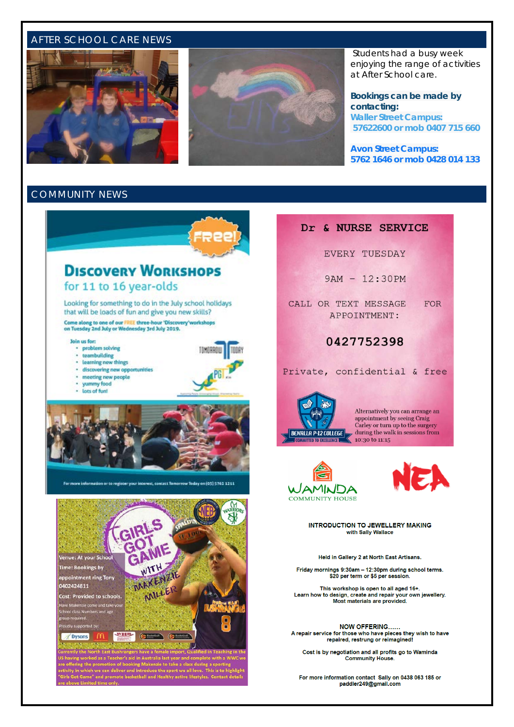#### AFTER SCHOOL CARE NEWS





Students had a busy week enjoying the range of activities at After School care.

**Bookings can be made by contacting: Waller Street Campus: 57622600 or mob 0407 715 660**

**Avon Street Campus: 5762 1646 or mob 0428 014 133**

#### COMMUNITY NEWS

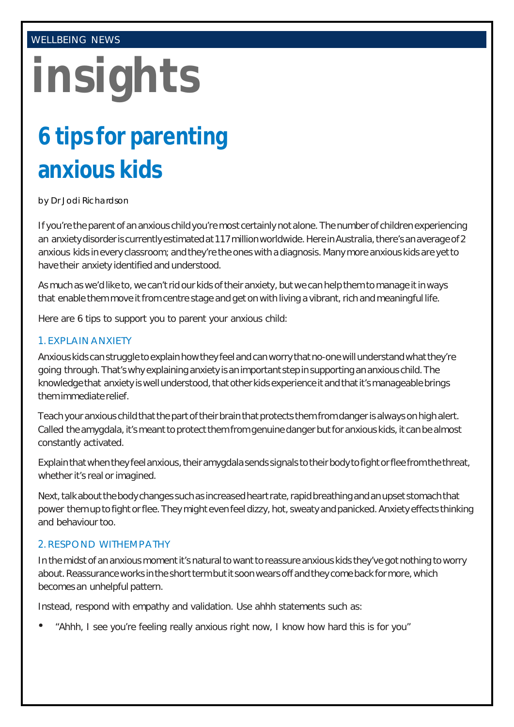#### WELLBEING NEWS

# **insights**

## **6 tips for parenting anxious kids**

by Dr Jodi Richardson

If you're the parent of an anxious child you're most certainly not alone. The number of children experiencing an anxiety disorder is currently estimated at 117 million worldwide. Here in Australia, there's an average of 2 anxious kids in every classroom; and they're the ones with a diagnosis.Many more anxious kids are yetto have their anxiety identified and understood.

As much as we'd like to, we can't rid our kids of their anxiety, but we can help them to manage it in ways that enable them move it from centre stage and get on with living a vibrant, rich and meaningful life.

Here are 6 tips to support you to parent your anxious child:

#### 1. EXPLAIN ANXIETY

Anxious kids can struggle to explain how they feel and can worry that no-one will understand what they're going through.That'swhy explaining anxiety isanimportant stepinsupporting ananxious child.The knowledge that anxiety is well understood, that other kids experience it and that it's manageable brings themimmediate relief.

Teach your anxious child that the part of their brain that protects them from danger is always on high alert. Called the amygdala, it's meant to protect them from genuine danger but for anxious kids, it can be almost constantly activated.

Explain that when they feel anxious, their amygdala sends signals to their body to fight or flee from the threat, whether it's real or imagined.

Next, talk about the body changes such as increased heart rate, rapid breathing and an upset stomach that power them up to fight or flee. They might even feel dizzy, hot, sweaty and panicked. Anxiety effects thinking and behaviour too.

#### 2. RESPOND WITHEMPATHY

In the midst of an anxious moment it's natural to want to reassure anxious kids they've got nothing to worry about. Reassurance works in the short term but it soon wears off and they come back for more, which becomes an unhelpful pattern.

Instead, respond with empathy and validation. Use ahhh statements such as:

"Ahhh, I see you're feeling really anxious right now, I know how hard this is for you"